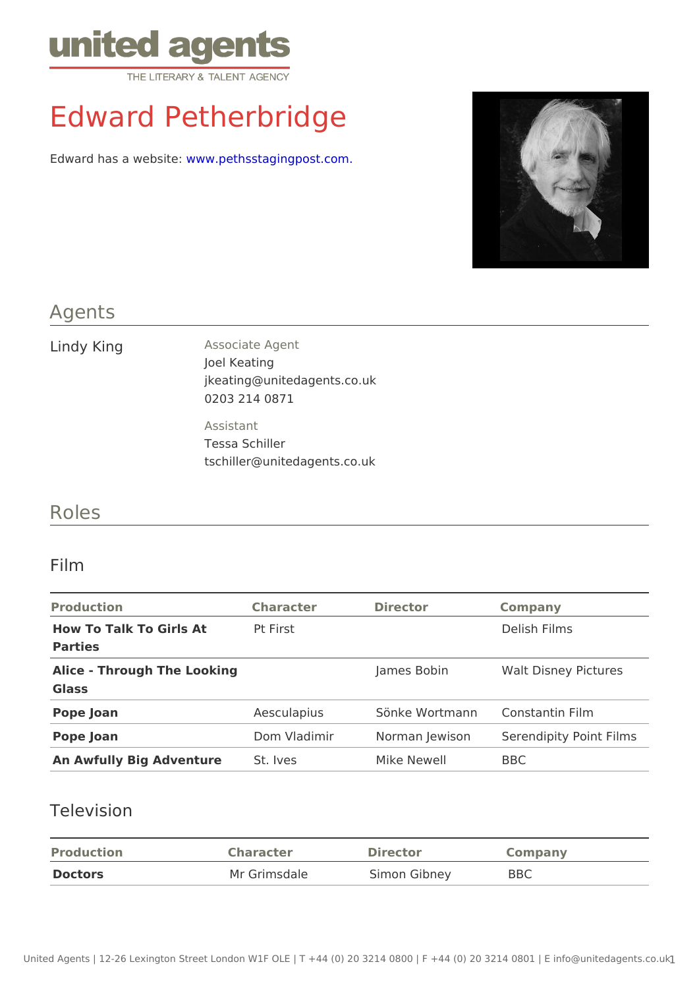# Edward Petherbridge

Edward has a wewww.wepethsstagingpost.com.

### Agents

Lindy King Associate Agent Joel Keating jkeating@unitedagents.co.uk 0203 214 0871 Assistant Tessa Schiller

tschiller@unitedagents.co.uk

#### Roles

#### Film

| Production                                  | Character Director |                 | Company                                            |  |
|---------------------------------------------|--------------------|-----------------|----------------------------------------------------|--|
| How To Talk To Girls At Pt First<br>Parties |                    |                 | Delish Films                                       |  |
| Alice - Through The Looking<br>Glass        |                    | James Bobin     | Walt Disney Pictures                               |  |
| Pope Joan                                   |                    |                 | Aesculapius Sönke WortmanConstantin Film           |  |
| Pope Joan                                   |                    |                 | Dom Vladimir Norman JewisonSerendipity Point Films |  |
| An Awfully Big Adventur&t. Ives             |                    | Mike Newell BBC |                                                    |  |

#### Television

| Production | Character    | Director     | Company |
|------------|--------------|--------------|---------|
| Doctors    | Mr Grimsdale | Simon Gibney | BBC     |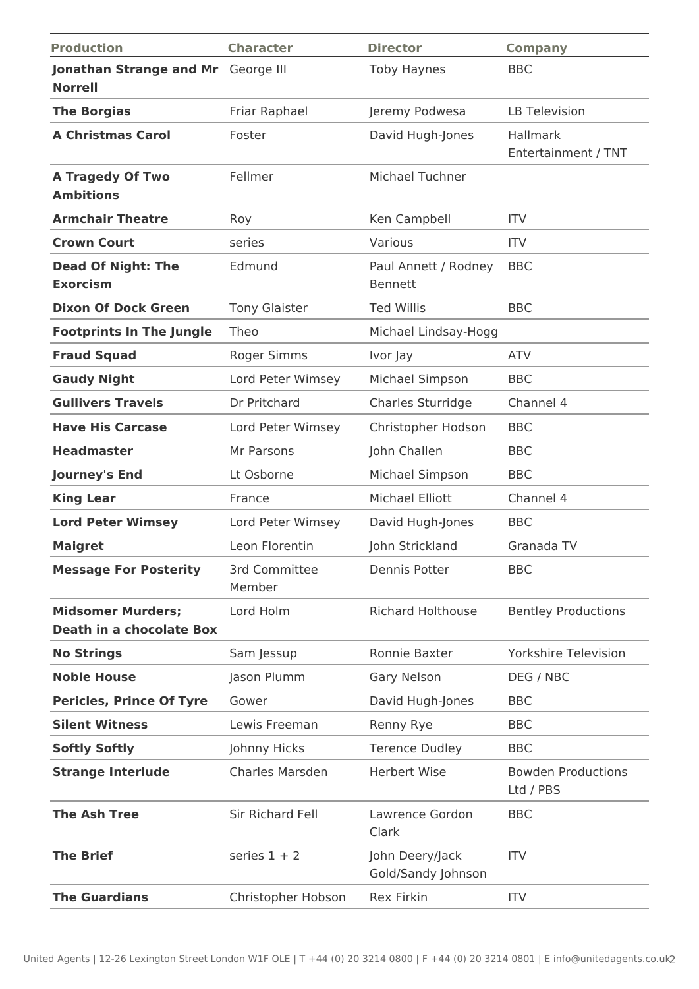| <b>Production</b>                                           | <b>Character</b>        | <b>Director</b>                       | <b>Company</b>                         |
|-------------------------------------------------------------|-------------------------|---------------------------------------|----------------------------------------|
| Jonathan Strange and Mr George III<br><b>Norrell</b>        |                         | <b>Toby Haynes</b>                    | <b>BBC</b>                             |
| <b>The Borgias</b>                                          | Friar Raphael           | Jeremy Podwesa                        | <b>LB Television</b>                   |
| <b>A Christmas Carol</b>                                    | Foster                  | David Hugh-Jones                      | Hallmark<br>Entertainment / TNT        |
| <b>A Tragedy Of Two</b><br><b>Ambitions</b>                 | Fellmer                 | <b>Michael Tuchner</b>                |                                        |
| <b>Armchair Theatre</b>                                     | Roy                     | Ken Campbell                          | <b>ITV</b>                             |
| <b>Crown Court</b>                                          | series                  | Various                               | <b>ITV</b>                             |
| <b>Dead Of Night: The</b><br><b>Exorcism</b>                | Edmund                  | Paul Annett / Rodney<br>Bennett       | <b>BBC</b>                             |
| <b>Dixon Of Dock Green</b>                                  | <b>Tony Glaister</b>    | <b>Ted Willis</b>                     | <b>BBC</b>                             |
| <b>Footprints In The Jungle</b>                             | Theo                    | Michael Lindsay-Hogg                  |                                        |
| <b>Fraud Squad</b>                                          | Roger Simms             | Ivor Jay                              | <b>ATV</b>                             |
| <b>Gaudy Night</b>                                          | Lord Peter Wimsey       | Michael Simpson                       | <b>BBC</b>                             |
| <b>Gullivers Travels</b>                                    | Dr Pritchard            | Charles Sturridge                     | Channel 4                              |
| <b>Have His Carcase</b>                                     | Lord Peter Wimsey       | Christopher Hodson                    | <b>BBC</b>                             |
| <b>Headmaster</b>                                           | Mr Parsons              | John Challen                          | <b>BBC</b>                             |
| <b>Journey's End</b>                                        | Lt Osborne              | Michael Simpson                       | <b>BBC</b>                             |
| <b>King Lear</b>                                            | France                  | <b>Michael Elliott</b>                | Channel 4                              |
| <b>Lord Peter Wimsey</b>                                    | Lord Peter Wimsey       | David Hugh-Jones                      | <b>BBC</b>                             |
| <b>Maigret</b>                                              | Leon Florentin          | John Strickland                       | Granada TV                             |
| <b>Message For Posterity</b>                                | 3rd Committee<br>Member | Dennis Potter                         | <b>BBC</b>                             |
| <b>Midsomer Murders:</b><br><b>Death in a chocolate Box</b> | Lord Holm               | <b>Richard Holthouse</b>              | <b>Bentley Productions</b>             |
| <b>No Strings</b>                                           | Sam Jessup              | Ronnie Baxter                         | <b>Yorkshire Television</b>            |
| <b>Noble House</b>                                          | Jason Plumm             | <b>Gary Nelson</b>                    | DEG / NBC                              |
| <b>Pericles, Prince Of Tyre</b>                             | Gower                   | David Hugh-Jones                      | <b>BBC</b>                             |
| <b>Silent Witness</b>                                       | Lewis Freeman           | Renny Rye                             | <b>BBC</b>                             |
| <b>Softly Softly</b>                                        | Johnny Hicks            | <b>Terence Dudley</b>                 | <b>BBC</b>                             |
| <b>Strange Interlude</b>                                    | Charles Marsden         | <b>Herbert Wise</b>                   | <b>Bowden Productions</b><br>Ltd / PBS |
| <b>The Ash Tree</b>                                         | Sir Richard Fell        | Lawrence Gordon<br>Clark              | <b>BBC</b>                             |
| <b>The Brief</b>                                            | series $1 + 2$          | John Deery/Jack<br>Gold/Sandy Johnson | <b>ITV</b>                             |
| <b>The Guardians</b>                                        | Christopher Hobson      | <b>Rex Firkin</b>                     | <b>ITV</b>                             |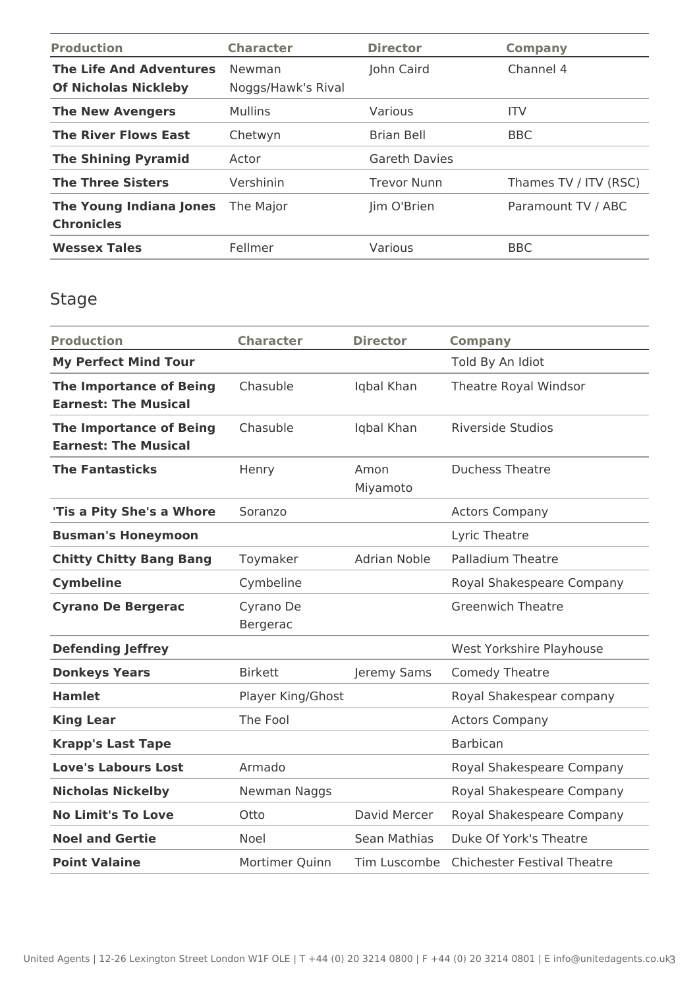| <b>Production</b>                                             | <b>Character</b>             | <b>Director</b>      | <b>Company</b>        |
|---------------------------------------------------------------|------------------------------|----------------------|-----------------------|
| <b>The Life And Adventures</b><br><b>Of Nicholas Nickleby</b> | Newman<br>Noggs/Hawk's Rival | John Caird           | Channel 4             |
| <b>The New Avengers</b>                                       | <b>Mullins</b>               | Various              | <b>ITV</b>            |
| <b>The River Flows East</b>                                   | Chetwyn                      | <b>Brian Bell</b>    | <b>BBC</b>            |
| <b>The Shining Pyramid</b>                                    | Actor                        | <b>Gareth Davies</b> |                       |
| <b>The Three Sisters</b>                                      | Vershinin                    | <b>Trevor Nunn</b>   | Thames TV / ITV (RSC) |
| <b>The Young Indiana Jones</b><br><b>Chronicles</b>           | The Major                    | Jim O'Brien          | Paramount TV / ABC    |
| <b>Wessex Tales</b>                                           | Fellmer                      | Various              | <b>BBC</b>            |

## Stage

| <b>Production</b>                                             | <b>Character</b>      | <b>Director</b>     | <b>Company</b>                     |
|---------------------------------------------------------------|-----------------------|---------------------|------------------------------------|
| <b>My Perfect Mind Tour</b>                                   |                       |                     | Told By An Idiot                   |
| <b>The Importance of Being</b><br><b>Earnest: The Musical</b> | Chasuble              | Iqbal Khan          | Theatre Royal Windsor              |
| <b>The Importance of Being</b><br><b>Earnest: The Musical</b> | Chasuble              | Iqbal Khan          | <b>Riverside Studios</b>           |
| <b>The Fantasticks</b>                                        | Henry                 | Amon<br>Miyamoto    | <b>Duchess Theatre</b>             |
| 'Tis a Pity She's a Whore                                     | Soranzo               |                     | <b>Actors Company</b>              |
| <b>Busman's Honeymoon</b>                                     |                       |                     | Lyric Theatre                      |
| <b>Chitty Chitty Bang Bang</b>                                | Toymaker              | <b>Adrian Noble</b> | <b>Palladium Theatre</b>           |
| <b>Cymbeline</b>                                              | Cymbeline             |                     | Royal Shakespeare Company          |
| <b>Cyrano De Bergerac</b>                                     | Cyrano De<br>Bergerac |                     | <b>Greenwich Theatre</b>           |
| <b>Defending Jeffrey</b>                                      |                       |                     | West Yorkshire Playhouse           |
| <b>Donkeys Years</b>                                          | <b>Birkett</b>        | Jeremy Sams         | Comedy Theatre                     |
| <b>Hamlet</b>                                                 | Player King/Ghost     |                     | Royal Shakespear company           |
| <b>King Lear</b>                                              | The Fool              |                     | <b>Actors Company</b>              |
| <b>Krapp's Last Tape</b>                                      |                       |                     | <b>Barbican</b>                    |
| <b>Love's Labours Lost</b>                                    | Armado                |                     | Royal Shakespeare Company          |
| <b>Nicholas Nickelby</b>                                      | Newman Naggs          |                     | Royal Shakespeare Company          |
| <b>No Limit's To Love</b>                                     | Otto                  | David Mercer        | Royal Shakespeare Company          |
| <b>Noel and Gertie</b>                                        | Noel                  | Sean Mathias        | Duke Of York's Theatre             |
| <b>Point Valaine</b>                                          | Mortimer Quinn        | Tim Luscombe        | <b>Chichester Festival Theatre</b> |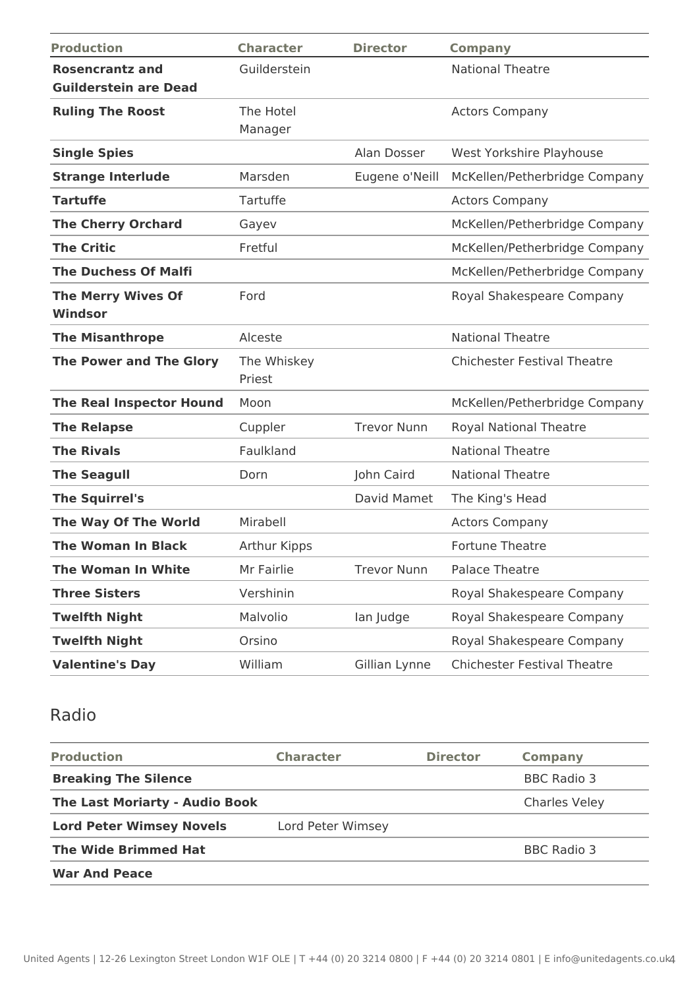| <b>Production</b>               | <b>Character</b> | <b>Director</b>    | <b>Company</b>                     |
|---------------------------------|------------------|--------------------|------------------------------------|
| <b>Rosencrantz and</b>          | Guilderstein     |                    | <b>National Theatre</b>            |
| <b>Guilderstein are Dead</b>    |                  |                    |                                    |
| <b>Ruling The Roost</b>         | The Hotel        |                    | <b>Actors Company</b>              |
|                                 | Manager          |                    |                                    |
| <b>Single Spies</b>             |                  | Alan Dosser        | West Yorkshire Playhouse           |
| <b>Strange Interlude</b>        | Marsden          | Eugene o'Neill     | McKellen/Petherbridge Company      |
| <b>Tartuffe</b>                 | Tartuffe         |                    | <b>Actors Company</b>              |
| <b>The Cherry Orchard</b>       | Gayev            |                    | McKellen/Petherbridge Company      |
| <b>The Critic</b>               | Fretful          |                    | McKellen/Petherbridge Company      |
| <b>The Duchess Of Malfi</b>     |                  |                    | McKellen/Petherbridge Company      |
| <b>The Merry Wives Of</b>       | Ford             |                    | Royal Shakespeare Company          |
| Windsor                         |                  |                    |                                    |
| <b>The Misanthrope</b>          | Alceste          |                    | <b>National Theatre</b>            |
| <b>The Power and The Glory</b>  | The Whiskey      |                    | <b>Chichester Festival Theatre</b> |
|                                 | Priest           |                    |                                    |
| <b>The Real Inspector Hound</b> | Moon             |                    | McKellen/Petherbridge Company      |
| <b>The Relapse</b>              | Cuppler          | <b>Trevor Nunn</b> | <b>Royal National Theatre</b>      |
| <b>The Rivals</b>               | Faulkland        |                    | <b>National Theatre</b>            |
| <b>The Seagull</b>              | Dorn             | John Caird         | <b>National Theatre</b>            |
| <b>The Squirrel's</b>           |                  | David Mamet        | The King's Head                    |
| The Way Of The World            | Mirabell         |                    | <b>Actors Company</b>              |
| <b>The Woman In Black</b>       | Arthur Kipps     |                    | <b>Fortune Theatre</b>             |
| <b>The Woman In White</b>       | Mr Fairlie       | <b>Trevor Nunn</b> | <b>Palace Theatre</b>              |
| <b>Three Sisters</b>            | Vershinin        |                    | Royal Shakespeare Company          |
| <b>Twelfth Night</b>            | Malvolio         | lan Judge          | Royal Shakespeare Company          |
| <b>Twelfth Night</b>            | Orsino           |                    | Royal Shakespeare Company          |
| <b>Valentine's Day</b>          | William          | Gillian Lynne      | <b>Chichester Festival Theatre</b> |

## Radio

| <b>Production</b>                     | <b>Character</b>  | <b>Director</b> | Company              |
|---------------------------------------|-------------------|-----------------|----------------------|
| <b>Breaking The Silence</b>           |                   |                 | BBC Radio 3          |
| <b>The Last Moriarty - Audio Book</b> |                   |                 | <b>Charles Veley</b> |
| <b>Lord Peter Wimsey Novels</b>       | Lord Peter Wimsey |                 |                      |
| <b>The Wide Brimmed Hat</b>           |                   |                 | BBC Radio 3          |
| <b>War And Peace</b>                  |                   |                 |                      |